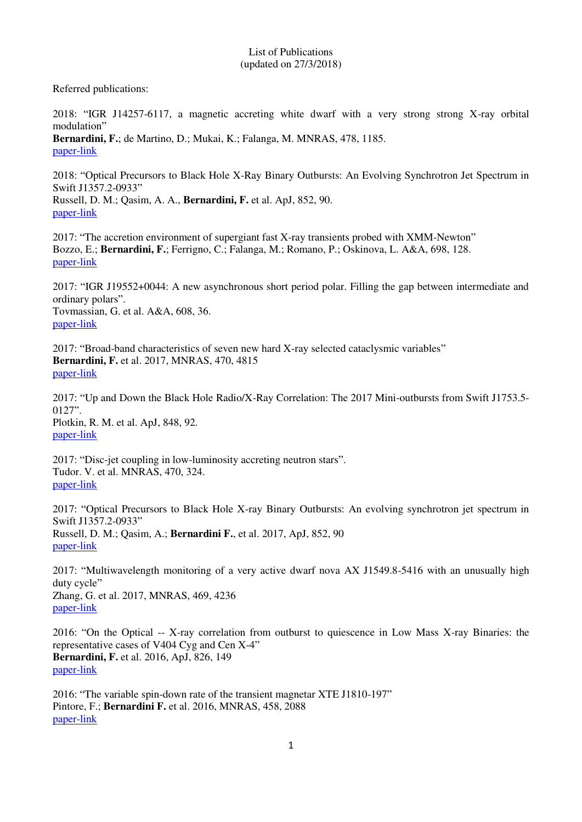## List of Publications (updated on 27/3/2018)

Referred publications:

2018: "IGR J14257-6117, a magnetic accreting white dwarf with a very strong strong X-ray orbital modulation"

**Bernardini, F.**; de Martino, D.; Mukai, K.; Falanga, M. MNRAS, 478, 1185. [paper-link](http://adsabs.harvard.edu/abs/2018MNRAS.478.1185B)

2018: "Optical Precursors to Black Hole X-Ray Binary Outbursts: An Evolving Synchrotron Jet Spectrum in Swift J1357.2-0933"

Russell, D. M.; Qasim, A. A., **Bernardini, F.** et al. ApJ, 852, 90. [paper-link](http://iopscience.iop.org/article/10.3847/1538-4357/aa9d8c/pdf)

2017: "The accretion environment of supergiant fast X-ray transients probed with XMM-Newton" Bozzo, E.; **Bernardini, F.**; Ferrigno, C.; Falanga, M.; Romano, P.; Oskinova, L. A&A, 698, 128. [paper-link](http://adsabs.harvard.edu/abs/2017A%26A...608A.128B)

2017: "IGR J19552+0044: A new asynchronous short period polar. Filling the gap between intermediate and ordinary polars". Tovmassian, G. et al. A&A, 608, 36. [paper-link](http://adsabs.harvard.edu/abs/2017A%26A...608A..36T)

2017: "Broad-band characteristics of seven new hard X-ray selected cataclysmic variables" **Bernardini, F.** et al. 2017, MNRAS, 470, 4815 [paper-link](http://adsabs.harvard.edu/abs/2017MNRAS.470.4815B)

2017: "Up and Down the Black Hole Radio/X-Ray Correlation: The 2017 Mini-outbursts from Swift J1753.5- 0127". Plotkin, R. M. et al. ApJ, 848, 92. [paper-link](http://iopscience.iop.org/article/10.3847/1538-4357/aa8d6d/pdf)

2017: "Disc-jet coupling in low-luminosity accreting neutron stars". Tudor. V. et al. MNRAS, 470, 324. [paper-link](http://adsabs.harvard.edu/abs/2017MNRAS.470..324T)

2017: "Optical Precursors to Black Hole X-ray Binary Outbursts: An evolving synchrotron jet spectrum in Swift J1357.2-0933" Russell, D. M.; Qasim, A.; **Bernardini F.**, et al. 2017, ApJ, 852, 90 [paper-link](http://iopscience.iop.org/article/10.3847/1538-4357/aa9d8c/pdf)

2017: "Multiwavelength monitoring of a very active dwarf nova AX J1549.8-5416 with an unusually high duty cycle" Zhang, G. et al. 2017, MNRAS, 469, 4236 [paper-link](https://watermark.silverchair.com/stx1106.pdf?token=AQECAHi208BE49Ooan9kkhW_Ercy7Dm3ZL_9Cf3qfKAc485ysgAAAjQwggIwBgkqhkiG9w0BBwagggIhMIICHQIBADCCAhYGCSqGSIb3DQEHATAeBglghkgBZQMEAS4wEQQMdIk5cje2g6FSqRY9AgEQgIIB516R8_Wyxh_cI4eoJ10_K11RlWkmsCuiVBRL9wJ_T-V6ZKY)

2016: "On the Optical -- X-ray correlation from outburst to quiescence in Low Mass X-ray Binaries: the representative cases of V404 Cyg and Cen X-4" **Bernardini, F.** et al. 2016, ApJ, 826, 149 [paper-link](http://iopscience.iop.org/article/10.3847/0004-637X/826/2/149/pdf)

2016: "The variable spin-down rate of the transient magnetar XTE J1810-197" Pintore, F.; **Bernardini F.** et al. 2016, MNRAS, 458, 2088 [paper-link](http://mnras.oxfordjournals.org/content/early/2016/02/24/mnras.stw351.full.pdf)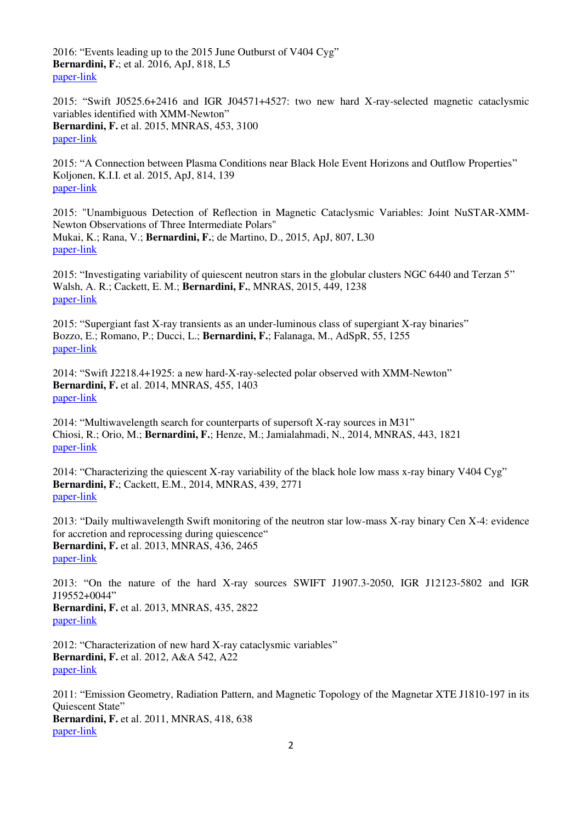2016: "Events leading up to the 2015 June Outburst of V404 Cyg" **Bernardini, F.**; et al. 2016, ApJ, 818, L5 [paper-link](http://iopscience.iop.org/article/10.3847/2041-8205/818/1/L5/pdf)

2015: "Swift J0525.6+2416 and IGR J04571+4527: two new hard X-ray-selected magnetic cataclysmic variables identified with XMM-Newton" **Bernardini, F.** et al. 2015, MNRAS, 453, 3100 [paper-link](http://mnras.oxfordjournals.org/content/453/3/3100.full.pdf)

2015: "A Connection between Plasma Conditions near Black Hole Event Horizons and Outflow Properties" Koljonen, K.I.I. et al. 2015, ApJ, 814, 139 [paper-link](http://iopscience.iop.org/article/10.1088/0004-637X/814/2/139/meta)

2015: "Unambiguous Detection of Reflection in Magnetic Cataclysmic Variables: Joint NuSTAR-XMM-Newton Observations of Three Intermediate Polars" Mukai, K.; Rana, V.; **Bernardini, F.**; de Martino, D., 2015, ApJ, 807, L30 [paper-link](http://adsabs.harvard.edu/abs/2015ApJ...807L..30M)

2015: "Investigating variability of quiescent neutron stars in the globular clusters NGC 6440 and Terzan 5" Walsh, A. R.; Cackett, E. M.; **Bernardini, F.**, MNRAS, 2015, 449, 1238 [paper-link](http://mnras.oxfordjournals.org/content/449/2/1238.full.pdf)

2015: "Supergiant fast X-ray transients as an under-luminous class of supergiant X-ray binaries" Bozzo, E.; Romano, P.; Ducci, L.; **Bernardini, F.**; Falanaga, M., AdSpR, 55, 1255 [paper-link](http://adsabs.harvard.edu/abs/2015AdSpR..55.1255B)

2014: "Swift J2218.4+1925: a new hard-X-ray-selected polar observed with XMM-Newton" **Bernardini, F.** et al. 2014, MNRAS, 455, 1403 [paper-link](http://mnras.oxfordjournals.org/content/445/2/1403.full.pdf)

2014: "Multiwavelength search for counterparts of supersoft X-ray sources in M31" Chiosi, R.; Orio, M.; **Bernardini, F.**; Henze, M.; Jamialahmadi, N., 2014, MNRAS, 443, 1821 [paper-link](http://mnras.oxfordjournals.org/content/443/2/1821.full.pdf)

2014: "Characterizing the quiescent X-ray variability of the black hole low mass x-ray binary V404 Cyg" **Bernardini, F.**; Cackett, E.M., 2014, MNRAS, 439, 2771 [paper-link](http://mnras.oxfordjournals.org/content/439/3/2771.full.pdf)

2013: "Daily multiwavelength Swift monitoring of the neutron star low-mass X-ray binary Cen X-4: evidence for accretion and reprocessing during quiescence" **Bernardini, F.** et al. 2013, MNRAS, 436, 2465 [paper-link](http://mnras.oxfordjournals.org/content/436/3/2465.full.pdf)

2013: "On the nature of the hard X-ray sources SWIFT J1907.3-2050, IGR J12123-5802 and IGR J19552+0044" **Bernardini, F.** et al. 2013, MNRAS, 435, 2822 [paper-link](http://mnras.oxfordjournals.org/content/435/4/2822.full.pdf)

2012: "Characterization of new hard X-ray cataclysmic variables" **Bernardini, F.** et al. 2012, A&A 542, A22 [paper-link](http://www.aanda.org/articles/aa/pdf/2012/06/aa19233-12.pdf)

2011: "Emission Geometry, Radiation Pattern, and Magnetic Topology of the Magnetar XTE J1810-197 in its Quiescent State" **Bernardini, F.** et al. 2011, MNRAS, 418, 638 [paper-link](http://mnras.oxfordjournals.org/content/418/1/638.full.pdf)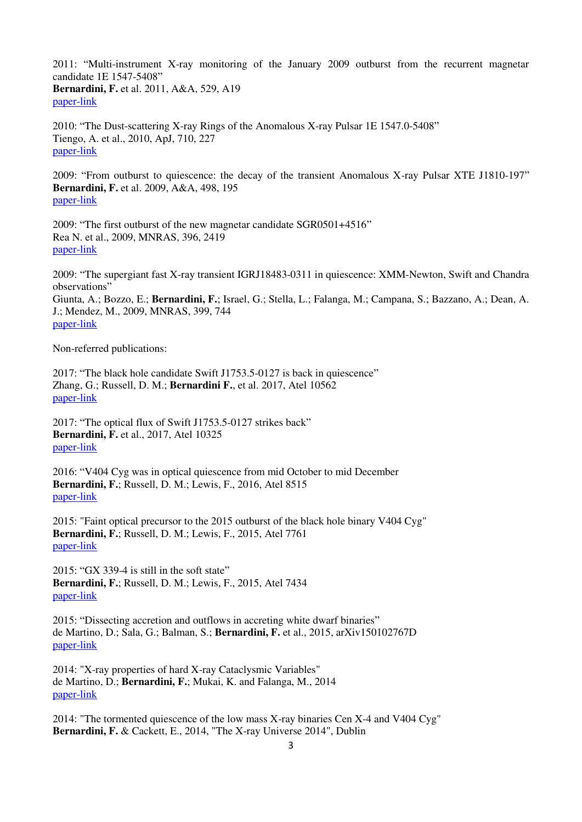2011: "Multi-instrument X-ray monitoring of the January 2009 outburst from the recurrent magnetar candidate 1E 1547-5408" **Bernardini, F.** et al. 2011, A&A, 529, A19 [paper-link](http://www.aanda.org/articles/aa/pdf/2011/05/aa16197-10.pdf)

2010: "The Dust-scattering X-ray Rings of the Anomalous X-ray Pulsar 1E 1547.0-5408" Tiengo, A. et al., 2010, ApJ, 710, 227 [paper-link](http://iopscience.iop.org/article/10.1088/0004-637X/710/1/227/pdf)

2009: "From outburst to quiescence: the decay of the transient Anomalous X-ray Pulsar XTE J1810-197" **Bernardini, F.** et al. 2009, A&A, 498, 195 [paper-link](http://www.aanda.org/articles/aa/pdf/2009/16/aa10779-08.pdf)

2009: "The first outburst of the new magnetar candidate SGR0501+4516" Rea N. et al., 2009, MNRAS, 396, 2419 [paper-link](http://mnras.oxfordjournals.org/content/396/4/2419.full.pdf)

2009: "The supergiant fast X-ray transient IGRJ18483-0311 in quiescence: XMM-Newton, Swift and Chandra observations" Giunta, A.; Bozzo, E.; **Bernardini, F.**; Israel, G.; Stella, L.; Falanga, M.; Campana, S.; Bazzano, A.; Dean, A. J.; Mendez, M., 2009, MNRAS, 399, 744 [paper-link](http://mnras.oxfordjournals.org/content/399/2/744.full.pdf)

Non-referred publications:

2017: "The black hole candidate Swift J1753.5-0127 is back in quiescence" Zhang, G.; Russell, D. M.; **Bernardini F.**, et al. 2017, Atel 10562 [paper-link](http://www.astronomerstelegram.org/?read=10562)

2017: "The optical flux of Swift J1753.5-0127 strikes back" **Bernardini, F.** et al., 2017, Atel 10325 [paper-link](http://www.astronomerstelegram.org/?read=10325)

2016: "V404 Cyg was in optical quiescence from mid October to mid December **Bernardini, F.**; Russell, D. M.; Lewis, F., 2016, Atel 8515 [paper-link](http://www.astronomerstelegram.org/?read=8515)

2015: "Faint optical precursor to the 2015 outburst of the black hole binary V404 Cyg" **Bernardini, F.**; Russell, D. M.; Lewis, F., 2015, Atel 7761 [paper-link](http://www.astronomerstelegram.org/?read=7761)

2015: "GX 339-4 is still in the soft state" **Bernardini, F.**; Russell, D. M.; Lewis, F., 2015, Atel 7434 [paper-link](http://www.astronomerstelegram.org/?read=7434)

2015: "Dissecting accretion and outflows in accreting white dwarf binaries" de Martino, D.; Sala, G.; Balman, S.; **Bernardini, F.** et al., 2015, arXiv150102767D [paper-link](http://arxiv.org/pdf/1501.02767v1.pdf)

2014: "X-ray properties of hard X-ray Cataclysmic Variables" de Martino, D.; **Bernardini, F.**; Mukai, K. and Falanga, M., 2014 [paper-link](http://www.cosmos.esa.int/documents/332006/744654/DdeMartino_t.pdf)

2014: "The tormented quiescence of the low mass X-ray binaries Cen X-4 and V404 Cyg" **Bernardini, F.** & Cackett, E., 2014, "The X-ray Universe 2014", Dublin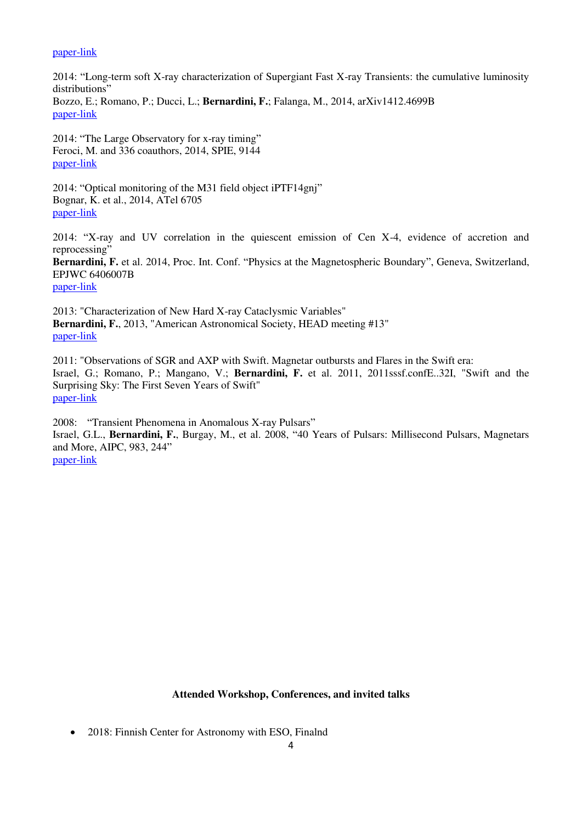## [paper-link](http://www.cosmos.esa.int/documents/332006/744654/FBernardini_t.pdf)

2014: "Long-term soft X-ray characterization of Supergiant Fast X-ray Transients: the cumulative luminosity distributions" Bozzo, E.; Romano, P.; Ducci, L.; **Bernardini, F.**; Falanga, M., 2014, arXiv1412.4699B [paper-link](http://arxiv.org/pdf/1412.4699v1.pdf)

2014: "The Large Observatory for x-ray timing" Feroci, M. and 336 coauthors, 2014, SPIE, 9144 [paper-link](http://proceedings.spiedigitallibrary.org/proceeding.aspx?articleid=1893955)

2014: "Optical monitoring of the M31 field object iPTF14gnj" Bognar, K. et al., 2014, ATel 6705 [paper-link](http://www.astronomerstelegram.org/?read=6705)

2014: "X-ray and UV correlation in the quiescent emission of Cen X-4, evidence of accretion and reprocessing"

**Bernardini, F.** et al. 2014, Proc. Int. Conf. "Physics at the Magnetospheric Boundary", Geneva, Switzerland, EPJWC 6406007B [paper-link](http://www.epj-conferences.org/articles/epjconf/pdf/2014/01/epjconf_mag2013_06007.pdf)

2013: "Characterization of New Hard X-ray Cataclysmic Variables" **Bernardini, F.**, 2013, "American Astronomical Society, HEAD meeting #13" [paper-link](http://articles.adsabs.harvard.edu/cgi-bin/get_file?pdfs/HEAD./0013/2013HEAD...1312604B.pdf)

2011: "Observations of SGR and AXP with Swift. Magnetar outbursts and Flares in the Swift era: Israel, G.; Romano, P.; Mangano, V.; **Bernardini, F.** et al. 2011, 2011sssf.confE..32I, "Swift and the Surprising Sky: The First Seven Years of Swift" [paper-link](http://www.brera.inaf.it/docM/OAB/Research/SWIFT/Swift7/Presentations/Israel.pdf)

2008: "Transient Phenomena in Anomalous X-ray Pulsars" Israel, G.L., **Bernardini, F.**, Burgay, M., et al. 2008, "40 Years of Pulsars: Millisecond Pulsars, Magnetars and More, AIPC, 983, 244" [paper-link](http://scitation.aip.org/docserver/fulltext/aip/proceeding/aipcp/983/10.1063/1.2900152/1.2900152.pdf?expires=1432486836&id=id&accname=2108410&checksum=F30E9982EFD65D3366C6EB81A72BDFF7)

## **Attended Workshop, Conferences, and invited talks**

• 2018: Finnish Center for Astronomy with ESO, Finalnd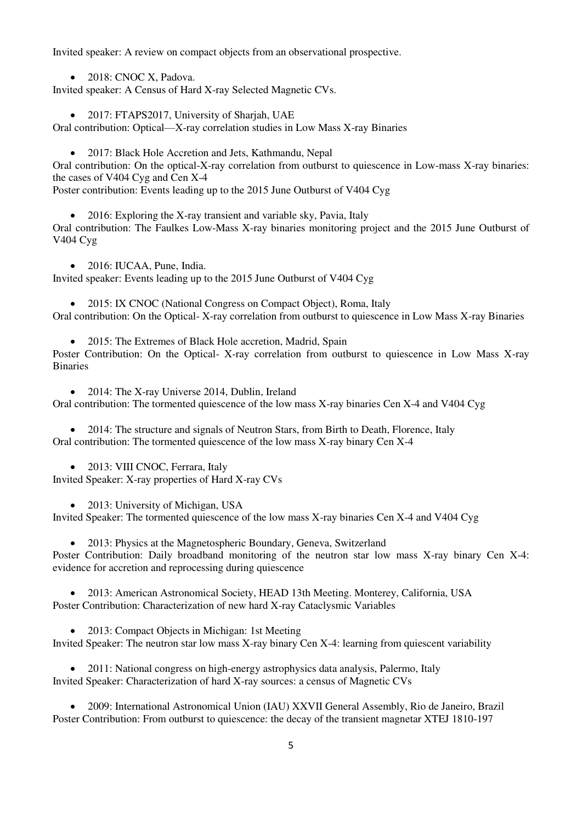Invited speaker: A review on compact objects from an observational prospective.

• 2018: CNOC X, Padova.

Invited speaker: A Census of Hard X-ray Selected Magnetic CVs.

• 2017: FTAPS2017, University of Sharjah, UAE

Oral contribution: Optical—X-ray correlation studies in Low Mass X-ray Binaries

2017: Black Hole Accretion and Jets, Kathmandu, Nepal

Oral contribution: On the optical-X-ray correlation from outburst to quiescence in Low-mass X-ray binaries: the cases of V404 Cyg and Cen X-4

Poster contribution: Events leading up to the 2015 June Outburst of V404 Cyg

• 2016: Exploring the X-ray transient and variable sky, Pavia, Italy Oral contribution: The Faulkes Low-Mass X-ray binaries monitoring project and the 2015 June Outburst of V404 Cyg

• 2016: IUCAA, Pune, India.

Invited speaker: Events leading up to the 2015 June Outburst of V404 Cyg

• 2015: IX CNOC (National Congress on Compact Object), Roma, Italy Oral contribution: On the Optical- X-ray correlation from outburst to quiescence in Low Mass X-ray Binaries

• 2015: The Extremes of Black Hole accretion, Madrid, Spain

Poster Contribution: On the Optical- X-ray correlation from outburst to quiescence in Low Mass X-ray **Binaries** 

• 2014: The X-ray Universe 2014, Dublin, Ireland

Oral contribution: The tormented quiescence of the low mass X-ray binaries Cen X-4 and V404 Cyg

• 2014: The structure and signals of Neutron Stars, from Birth to Death, Florence, Italy Oral contribution: The tormented quiescence of the low mass X-ray binary Cen X-4

• 2013: VIII CNOC, Ferrara, Italy

Invited Speaker: X-ray properties of Hard X-ray CVs

• 2013: University of Michigan, USA

Invited Speaker: The tormented quiescence of the low mass X-ray binaries Cen X-4 and V404 Cyg

• 2013: Physics at the Magnetospheric Boundary, Geneva, Switzerland

Poster Contribution: Daily broadband monitoring of the neutron star low mass X-ray binary Cen X-4: evidence for accretion and reprocessing during quiescence

 2013: American Astronomical Society, HEAD 13th Meeting. Monterey, California, USA Poster Contribution: Characterization of new hard X-ray Cataclysmic Variables

• 2013: Compact Objects in Michigan: 1st Meeting Invited Speaker: The neutron star low mass X-ray binary Cen X-4: learning from quiescent variability

 2011: National congress on high-energy astrophysics data analysis, Palermo, Italy Invited Speaker: Characterization of hard X-ray sources: a census of Magnetic CVs

 2009: International Astronomical Union (IAU) XXVII General Assembly, Rio de Janeiro, Brazil Poster Contribution: From outburst to quiescence: the decay of the transient magnetar XTEJ 1810-197